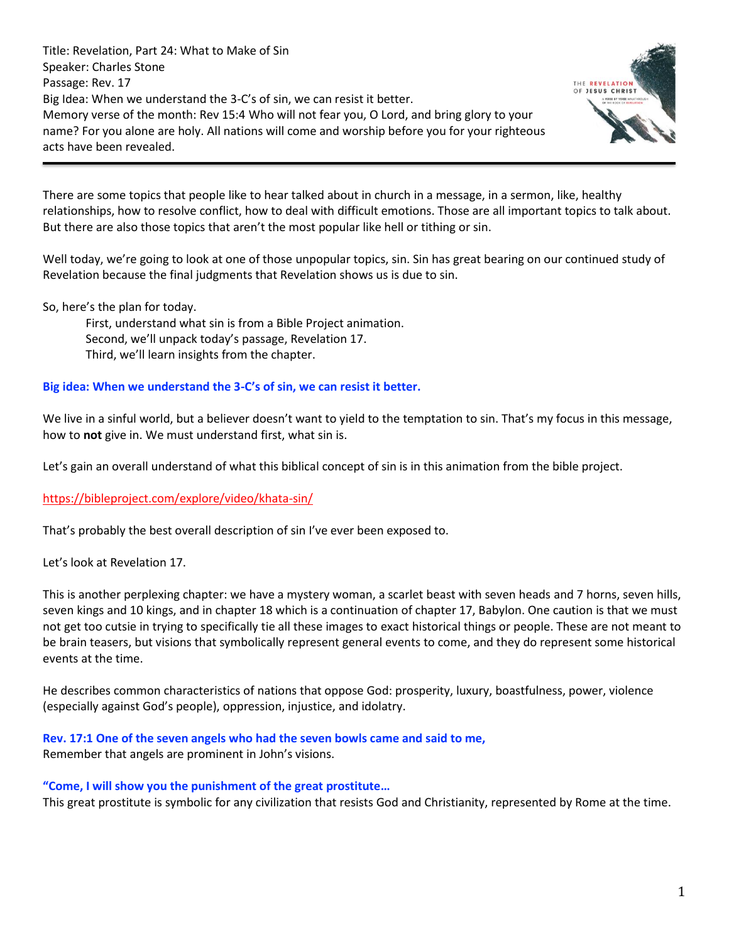Title: Revelation, Part 24: What to Make of Sin Speaker: Charles Stone Passage: Rev. 17 Big Idea: When we understand the 3-C's of sin, we can resist it better. Memory verse of the month: Rev 15:4 Who will not fear you, O Lord, and bring glory to your name? For you alone are holy. All nations will come and worship before you for your righteous acts have been revealed.



There are some topics that people like to hear talked about in church in a message, in a sermon, like, healthy relationships, how to resolve conflict, how to deal with difficult emotions. Those are all important topics to talk about. But there are also those topics that aren't the most popular like hell or tithing or sin.

Well today, we're going to look at one of those unpopular topics, sin. Sin has great bearing on our continued study of Revelation because the final judgments that Revelation shows us is due to sin.

So, here's the plan for today.

First, understand what sin is from a Bible Project animation. Second, we'll unpack today's passage, Revelation 17. Third, we'll learn insights from the chapter.

**Big idea: When we understand the 3-C's of sin, we can resist it better.**

We live in a sinful world, but a believer doesn't want to yield to the temptation to sin. That's my focus in this message, how to **not** give in. We must understand first, what sin is.

Let's gain an overall understand of what this biblical concept of sin is in this animation from the bible project.

<https://bibleproject.com/explore/video/khata-sin/>

That's probably the best overall description of sin I've ever been exposed to.

Let's look at Revelation 17.

This is another perplexing chapter: we have a mystery woman, a scarlet beast with seven heads and 7 horns, seven hills, seven kings and 10 kings, and in chapter 18 which is a continuation of chapter 17, Babylon. One caution is that we must not get too cutsie in trying to specifically tie all these images to exact historical things or people. These are not meant to be brain teasers, but visions that symbolically represent general events to come, and they do represent some historical events at the time.

He describes common characteristics of nations that oppose God: prosperity, luxury, boastfulness, power, violence (especially against God's people), oppression, injustice, and idolatry.

**Rev. 17:1 One of the seven angels who had the seven bowls came and said to me,**  Remember that angels are prominent in John's visions.

#### **"Come, I will show you the punishment of the great prostitute…**

This great prostitute is symbolic for any civilization that resists God and Christianity, represented by Rome at the time.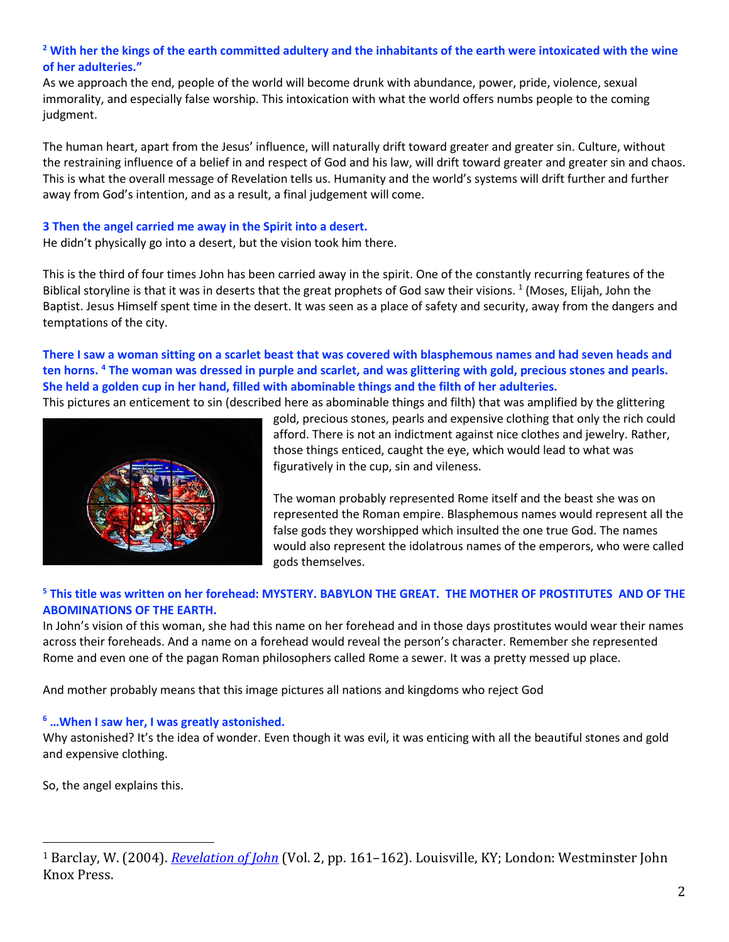### **<sup>2</sup> With her the kings of the earth committed adultery and the inhabitants of the earth were intoxicated with the wine of her adulteries."**

As we approach the end, people of the world will become drunk with abundance, power, pride, violence, sexual immorality, and especially false worship. This intoxication with what the world offers numbs people to the coming judgment.

The human heart, apart from the Jesus' influence, will naturally drift toward greater and greater sin. Culture, without the restraining influence of a belief in and respect of God and his law, will drift toward greater and greater sin and chaos. This is what the overall message of Revelation tells us. Humanity and the world's systems will drift further and further away from God's intention, and as a result, a final judgement will come.

#### **3 Then the angel carried me away in the Spirit into a desert.**

He didn't physically go into a desert, but the vision took him there.

This is the third of four times John has been carried away in the spirit. One of the constantly recurring features of the Biblical storyline is that it was in deserts that the great prophets of God saw their visions.  $^1$  (Moses, Elijah, John the Baptist. Jesus Himself spent time in the desert. It was seen as a place of safety and security, away from the dangers and temptations of the city.

# **There I saw a woman sitting on a scarlet beast that was covered with blasphemous names and had seven heads and ten horns. <sup>4</sup> The woman was dressed in purple and scarlet, and was glittering with gold, precious stones and pearls. She held a golden cup in her hand, filled with abominable things and the filth of her adulteries.**

This pictures an enticement to sin (described here as abominable things and filth) that was amplified by the glittering



gold, precious stones, pearls and expensive clothing that only the rich could afford. There is not an indictment against nice clothes and jewelry. Rather, those things enticed, caught the eye, which would lead to what was figuratively in the cup, sin and vileness.

The woman probably represented Rome itself and the beast she was on represented the Roman empire. Blasphemous names would represent all the false gods they worshipped which insulted the one true God. The names would also represent the idolatrous names of the emperors, who were called gods themselves.

### **<sup>5</sup> This title was written on her forehead: MYSTERY. BABYLON THE GREAT. THE MOTHER OF PROSTITUTES AND OF THE ABOMINATIONS OF THE EARTH.**

In John's vision of this woman, she had this name on her forehead and in those days prostitutes would wear their names across their foreheads. And a name on a forehead would reveal the person's character. Remember she represented Rome and even one of the pagan Roman philosophers called Rome a sewer. It was a pretty messed up place.

And mother probably means that this image pictures all nations and kingdoms who reject God

#### **<sup>6</sup> …When I saw her, I was greatly astonished.**

Why astonished? It's the idea of wonder. Even though it was evil, it was enticing with all the beautiful stones and gold and expensive clothing.

So, the angel explains this.

<sup>1</sup> Barclay, W. (2004). *[Revelation of John](https://ref.ly/logosres/ndsb87rev02?ref=Bible.Re17.3&off=759&ctx=ived+in+the+spirit.%0a~One+of+the+constantl)* (Vol. 2, pp. 161–162). Louisville, KY; London: Westminster John Knox Press.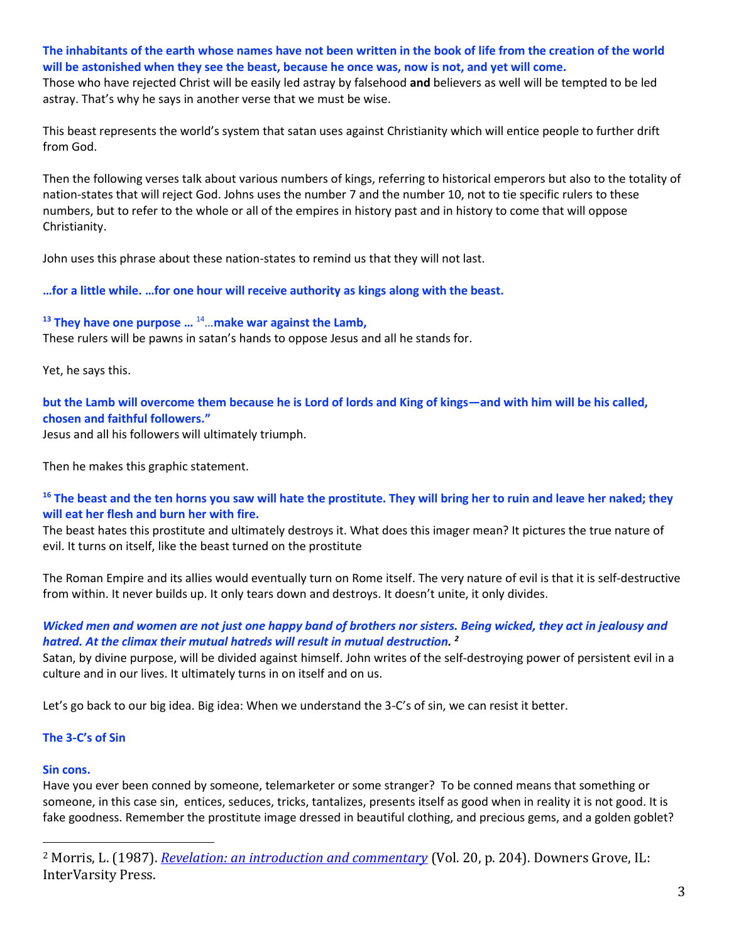# **The inhabitants of the earth whose names have not been written in the book of life from the creation of the world will be astonished when they see the beast, because he once was, now is not, and yet will come.**

Those who have rejected Christ will be easily led astray by falsehood **and** believers as well will be tempted to be led astray. That's why he says in another verse that we must be wise.

This beast represents the world's system that satan uses against Christianity which will entice people to further drift from God.

Then the following verses talk about various numbers of kings, referring to historical emperors but also to the totality of nation-states that will reject God. Johns uses the number 7 and the number 10, not to tie specific rulers to these numbers, but to refer to the whole or all of the empires in history past and in history to come that will oppose Christianity.

John uses this phrase about these nation-states to remind us that they will not last.

#### **…for a little while. …for one hour will receive authority as kings along with the beast.**

### **<sup>13</sup> They have one purpose …** <sup>14</sup>…**make war against the Lamb,**

These rulers will be pawns in satan's hands to oppose Jesus and all he stands for.

Yet, he says this.

**but the Lamb will overcome them because he is Lord of lords and King of kings—and with him will be his called, chosen and faithful followers."**

Jesus and all his followers will ultimately triumph.

Then he makes this graphic statement.

### **<sup>16</sup> The beast and the ten horns you saw will hate the prostitute. They will bring her to ruin and leave her naked; they will eat her flesh and burn her with fire.**

The beast hates this prostitute and ultimately destroys it. What does this imager mean? It pictures the true nature of evil. It turns on itself, like the beast turned on the prostitute

The Roman Empire and its allies would eventually turn on Rome itself. The very nature of evil is that it is self-destructive from within. It never builds up. It only tears down and destroys. It doesn't unite, it only divides.

# *Wicked men and women are not just one happy band of brothers nor sisters. Being wicked, they act in jealousy and hatred. At the climax their mutual hatreds will result in mutual destruction. 2*

Satan, by divine purpose, will be divided against himself. John writes of the self-destroying power of persistent evil in a culture and in our lives. It ultimately turns in on itself and on us.

Let's go back to our big idea. Big idea: When we understand the 3-C's of sin, we can resist it better.

### **The 3-C's of Sin**

#### **Sin cons.**

Have you ever been conned by someone, telemarketer or some stranger? To be conned means that something or someone, in this case sin, entices, seduces, tricks, tantalizes, presents itself as good when in reality it is not good. It is fake goodness. Remember the prostitute image dressed in beautiful clothing, and precious gems, and a golden goblet?

<sup>2</sup> Morris, L. (1987). *[Revelation: an introduction and commentary](https://ref.ly/logosres/tntc87reus?ref=Bible.Re17.16&off=134&ctx=s+self-destructive.+~Wicked+men+are+not+j)* (Vol. 20, p. 204). Downers Grove, IL: InterVarsity Press.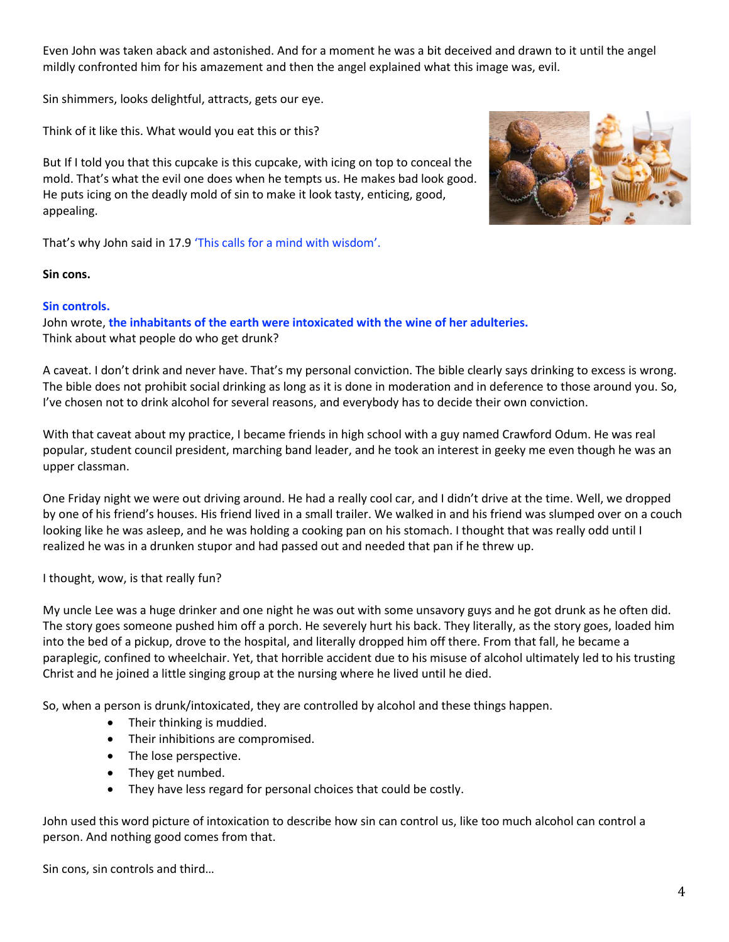Even John was taken aback and astonished. And for a moment he was a bit deceived and drawn to it until the angel mildly confronted him for his amazement and then the angel explained what this image was, evil.

Sin shimmers, looks delightful, attracts, gets our eye.

Think of it like this. What would you eat this or this?

But If I told you that this cupcake is this cupcake, with icing on top to conceal the mold. That's what the evil one does when he tempts us. He makes bad look good. He puts icing on the deadly mold of sin to make it look tasty, enticing, good, appealing.



### **Sin cons.**

### **Sin controls.**

John wrote, **the inhabitants of the earth were intoxicated with the wine of her adulteries.** Think about what people do who get drunk?

A caveat. I don't drink and never have. That's my personal conviction. The bible clearly says drinking to excess is wrong. The bible does not prohibit social drinking as long as it is done in moderation and in deference to those around you. So, I've chosen not to drink alcohol for several reasons, and everybody has to decide their own conviction.

With that caveat about my practice, I became friends in high school with a guy named Crawford Odum. He was real popular, student council president, marching band leader, and he took an interest in geeky me even though he was an upper classman.

One Friday night we were out driving around. He had a really cool car, and I didn't drive at the time. Well, we dropped by one of his friend's houses. His friend lived in a small trailer. We walked in and his friend was slumped over on a couch looking like he was asleep, and he was holding a cooking pan on his stomach. I thought that was really odd until I realized he was in a drunken stupor and had passed out and needed that pan if he threw up.

I thought, wow, is that really fun?

My uncle Lee was a huge drinker and one night he was out with some unsavory guys and he got drunk as he often did. The story goes someone pushed him off a porch. He severely hurt his back. They literally, as the story goes, loaded him into the bed of a pickup, drove to the hospital, and literally dropped him off there. From that fall, he became a paraplegic, confined to wheelchair. Yet, that horrible accident due to his misuse of alcohol ultimately led to his trusting Christ and he joined a little singing group at the nursing where he lived until he died.

So, when a person is drunk/intoxicated, they are controlled by alcohol and these things happen.

- Their thinking is muddied.
- Their inhibitions are compromised.
- The lose perspective.
- They get numbed.
- They have less regard for personal choices that could be costly.

John used this word picture of intoxication to describe how sin can control us, like too much alcohol can control a person. And nothing good comes from that.

Sin cons, sin controls and third…

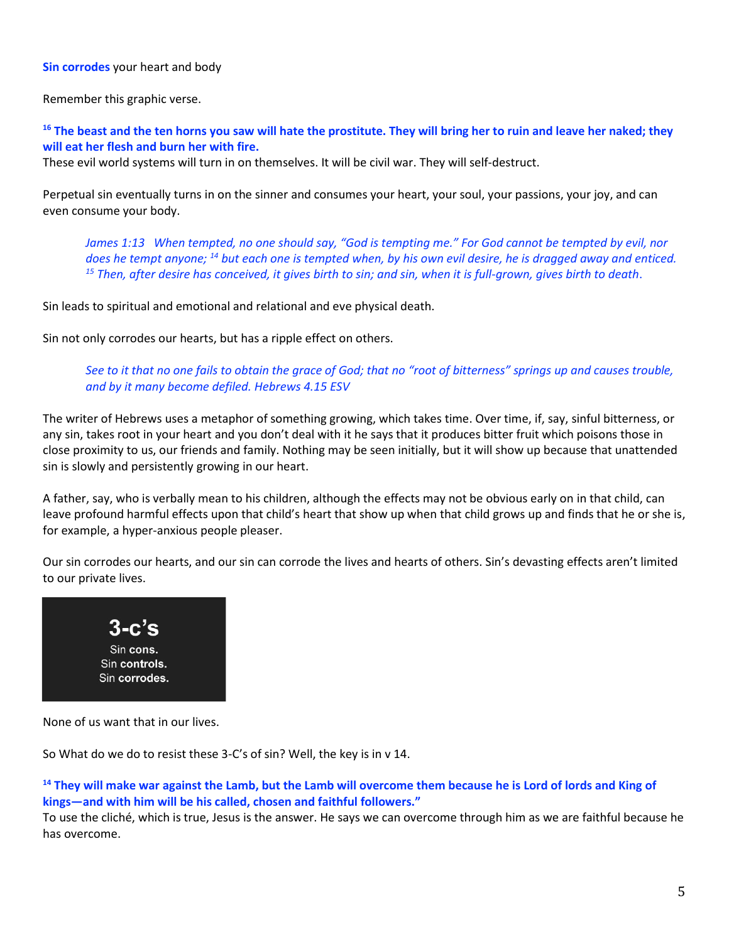#### **Sin corrodes** your heart and body

Remember this graphic verse.

**<sup>16</sup> The beast and the ten horns you saw will hate the prostitute. They will bring her to ruin and leave her naked; they will eat her flesh and burn her with fire.** 

These evil world systems will turn in on themselves. It will be civil war. They will self-destruct.

Perpetual sin eventually turns in on the sinner and consumes your heart, your soul, your passions, your joy, and can even consume your body.

*James 1:13* When tempted, no one should say, "God is tempting me." For God cannot be tempted by evil, nor *does he tempt anyone; <sup>14</sup> but each one is tempted when, by his own evil desire, he is dragged away and enticed. <sup>15</sup> Then, after desire has conceived, it gives birth to sin; and sin, when it is full-grown, gives birth to death*.

Sin leads to spiritual and emotional and relational and eve physical death.

Sin not only corrodes our hearts, but has a ripple effect on others.

*See to it that no one fails to obtain the grace of God; that no "root of bitterness" springs up and causes trouble, and by it many become defiled. Hebrews 4.15 ESV*

The writer of Hebrews uses a metaphor of something growing, which takes time. Over time, if, say, sinful bitterness, or any sin, takes root in your heart and you don't deal with it he says that it produces bitter fruit which poisons those in close proximity to us, our friends and family. Nothing may be seen initially, but it will show up because that unattended sin is slowly and persistently growing in our heart.

A father, say, who is verbally mean to his children, although the effects may not be obvious early on in that child, can leave profound harmful effects upon that child's heart that show up when that child grows up and finds that he or she is, for example, a hyper-anxious people pleaser.

Our sin corrodes our hearts, and our sin can corrode the lives and hearts of others. Sin's devasting effects aren't limited to our private lives.



None of us want that in our lives.

So What do we do to resist these 3-C's of sin? Well, the key is in v 14.

**<sup>14</sup> They will make war against the Lamb, but the Lamb will overcome them because he is Lord of lords and King of kings—and with him will be his called, chosen and faithful followers."**

To use the cliché, which is true, Jesus is the answer. He says we can overcome through him as we are faithful because he has overcome.